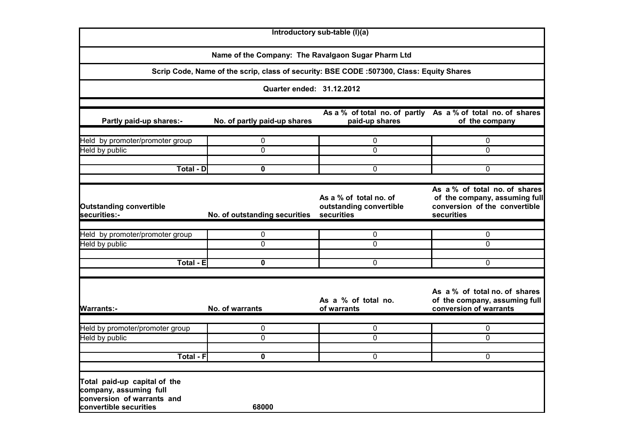|                                                                                                                |                                                    | Introductory sub-table (I)(a)                                                            |                                                                                                               |
|----------------------------------------------------------------------------------------------------------------|----------------------------------------------------|------------------------------------------------------------------------------------------|---------------------------------------------------------------------------------------------------------------|
|                                                                                                                | Name of the Company: The Ravalgaon Sugar Pharm Ltd |                                                                                          |                                                                                                               |
|                                                                                                                |                                                    | Scrip Code, Name of the scrip, class of security: BSE CODE :507300, Class: Equity Shares |                                                                                                               |
|                                                                                                                | Quarter ended: 31.12.2012                          |                                                                                          |                                                                                                               |
| Partly paid-up shares:-                                                                                        | No. of partly paid-up shares                       | As a % of total no. of partly<br>paid-up shares                                          | As a % of total no. of shares<br>of the company                                                               |
| Held by promoter/promoter group<br>Held by public                                                              | 0<br>0                                             | 0<br>$\mathbf 0$                                                                         | 0<br>$\mathbf 0$                                                                                              |
| <b>Total - DI</b>                                                                                              | $\bf{0}$                                           | $\mathbf 0$                                                                              | $\Omega$                                                                                                      |
| <b>Outstanding convertible</b><br>securities:-                                                                 | No. of outstanding securities                      | As a % of total no. of<br>outstanding convertible<br>securities                          | As a % of total no. of shares<br>of the company, assuming full<br>conversion of the convertible<br>securities |
| Held by promoter/promoter group                                                                                | 0                                                  | 0                                                                                        | 0                                                                                                             |
| Held by public                                                                                                 | $\Omega$                                           | $\Omega$                                                                                 | $\Omega$                                                                                                      |
| <b>Total - E</b>                                                                                               | $\mathbf 0$                                        | $\mathbf 0$                                                                              | 0                                                                                                             |
| <b>Warrants:-</b>                                                                                              | No. of warrants                                    | As a % of total no.<br>of warrants                                                       | As a % of total no. of shares<br>of the company, assuming full<br>conversion of warrants                      |
| Held by promoter/promoter group                                                                                | 0                                                  | 0                                                                                        | 0                                                                                                             |
| Held by public                                                                                                 | $\Omega$                                           | $\Omega$                                                                                 | $\Omega$                                                                                                      |
| <b>Total - F</b>                                                                                               | $\mathbf 0$                                        | $\mathbf 0$                                                                              | 0                                                                                                             |
| Total paid-up capital of the<br>company, assuming full<br>conversion of warrants and<br>convertible securities | 68000                                              |                                                                                          |                                                                                                               |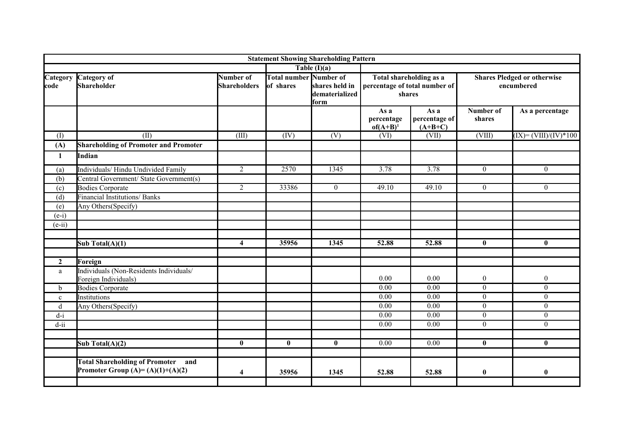|                  |                                                                                 |                                  |                                            | <b>Statement Showing Shareholding Pattern</b> |                                    |                                                                    |                     |                                                  |
|------------------|---------------------------------------------------------------------------------|----------------------------------|--------------------------------------------|-----------------------------------------------|------------------------------------|--------------------------------------------------------------------|---------------------|--------------------------------------------------|
|                  |                                                                                 |                                  |                                            | Table $(I)(a)$                                |                                    |                                                                    |                     |                                                  |
| Category<br>code | <b>Category</b> of<br><b>Shareholder</b>                                        | Number of<br><b>Shareholders</b> | <b>Total number Number of</b><br>of shares | shares held in<br>dematerialized<br>form      |                                    | Total shareholding as a<br>percentage of total number of<br>shares |                     | <b>Shares Pledged or otherwise</b><br>encumbered |
|                  |                                                                                 |                                  |                                            |                                               | As a<br>percentage<br>$of (A+B)^1$ | As a<br>percentage of<br>$(A+B+C)$                                 | Number of<br>shares | As a percentage                                  |
| (1)              | $\overline{\text{(II)}}$                                                        | (III)                            | (IV)                                       | $\overline{(V)}$                              | (VI)                               | (VII)                                                              | (VIII)              | $(IX) = (VIII)/(IV)*100$                         |
| (A)              | <b>Shareholding of Promoter and Promoter</b>                                    |                                  |                                            |                                               |                                    |                                                                    |                     |                                                  |
| 1                | Indian                                                                          |                                  |                                            |                                               |                                    |                                                                    |                     |                                                  |
| (a)              | Individuals/ Hindu Undivided Family                                             | $\overline{2}$                   | 2570                                       | 1345                                          | 3.78                               | 3.78                                                               | $\boldsymbol{0}$    | $\overline{0}$                                   |
| (b)              | Central Government/ State Government(s)                                         |                                  |                                            |                                               |                                    |                                                                    |                     |                                                  |
| (c)              | <b>Bodies Corporate</b>                                                         | $\overline{2}$                   | 33386                                      | $\overline{0}$                                | 49.10                              | 49.10                                                              | $\mathbf{0}$        | $\overline{0}$                                   |
| (d)              | <b>Financial Institutions/Banks</b>                                             |                                  |                                            |                                               |                                    |                                                                    |                     |                                                  |
| (e)              | Any Others(Specify)                                                             |                                  |                                            |                                               |                                    |                                                                    |                     |                                                  |
| $(e-i)$          |                                                                                 |                                  |                                            |                                               |                                    |                                                                    |                     |                                                  |
| $(e-ii)$         |                                                                                 |                                  |                                            |                                               |                                    |                                                                    |                     |                                                  |
|                  | Sub Total(A)(1)                                                                 | $\overline{\mathbf{4}}$          | 35956                                      | 1345                                          | 52.88                              | 52.88                                                              | $\mathbf{0}$        | $\bf{0}$                                         |
| $\mathbf{2}$     | Foreign                                                                         |                                  |                                            |                                               |                                    |                                                                    |                     |                                                  |
| a                | Individuals (Non-Residents Individuals/<br>Foreign Individuals)                 |                                  |                                            |                                               | 0.00                               | 0.00                                                               | $\boldsymbol{0}$    | $\overline{0}$                                   |
| $\mathbf b$      | <b>Bodies Corporate</b>                                                         |                                  |                                            |                                               | $\overline{0.00}$                  | 0.00                                                               | $\overline{0}$      | $\overline{0}$                                   |
| $\mathbf{c}$     | Institutions                                                                    |                                  |                                            |                                               | $\overline{0.00}$                  | 0.00                                                               | $\mathbf{0}$        | $\overline{0}$                                   |
| $\rm d$          | Any Others(Specify)                                                             |                                  |                                            |                                               | 0.00                               | $\overline{0.00}$                                                  | $\overline{0}$      | $\overline{0}$                                   |
| $d-i$            |                                                                                 |                                  |                                            |                                               | 0.00                               | 0.00                                                               | $\mathbf{0}$        | $\overline{0}$                                   |
| $d$ -ii          |                                                                                 |                                  |                                            |                                               | 0.00                               | 0.00                                                               | $\overline{0}$      | $\overline{0}$                                   |
|                  | Sub Total(A)(2)                                                                 | $\bf{0}$                         | $\mathbf{0}$                               | $\bf{0}$                                      | 0.00                               | 0.00                                                               | $\bf{0}$            | $\bf{0}$                                         |
|                  |                                                                                 |                                  |                                            |                                               |                                    |                                                                    |                     |                                                  |
|                  | <b>Total Shareholding of Promoter</b> and<br>Promoter Group $(A)=(A)(1)+(A)(2)$ | $\overline{\mathbf{4}}$          | 35956                                      | 1345                                          | 52.88                              | 52.88                                                              | 0                   | $\bf{0}$                                         |
|                  |                                                                                 |                                  |                                            |                                               |                                    |                                                                    |                     |                                                  |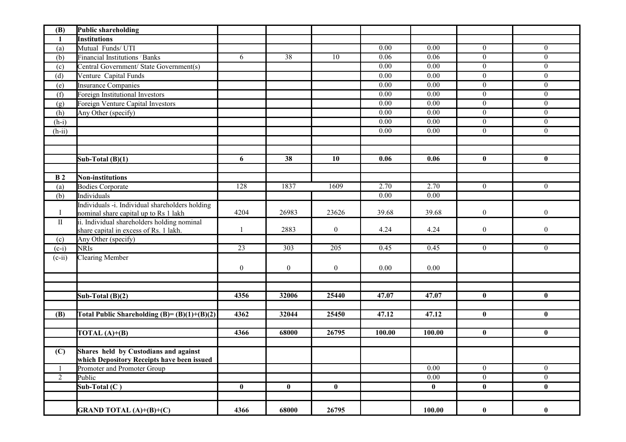| (B)            | Public shareholding                                                       |                  |                  |                  |                   |          |                  |                  |
|----------------|---------------------------------------------------------------------------|------------------|------------------|------------------|-------------------|----------|------------------|------------------|
| 1              | <b>Institutions</b>                                                       |                  |                  |                  |                   |          |                  |                  |
| (a)            | Mutual Funds/UTI                                                          |                  |                  |                  | 0.00              | 0.00     | $\overline{0}$   | $\overline{0}$   |
| (b)            | Financial Institutions <sup>/</sup> Banks                                 | 6                | 38               | 10               | 0.06              | 0.06     | $\overline{0}$   | $\overline{0}$   |
| (c)            | Central Government/State Government(s)                                    |                  |                  |                  | 0.00              | 0.00     | $\overline{0}$   | $\overline{0}$   |
| (d)            | Venture Capital Funds                                                     |                  |                  |                  | 0.00              | 0.00     | $\mathbf{0}$     | $\overline{0}$   |
| (e)            | Insurance Companies                                                       |                  |                  |                  | 0.00              | 0.00     | $\theta$         | $\overline{0}$   |
| (f)            | Foreign Institutional Investors                                           |                  |                  |                  | $\overline{0.00}$ | 0.00     | $\mathbf{0}$     | $\overline{0}$   |
| (g)            | Foreign Venture Capital Investors                                         |                  |                  |                  | $\overline{0.00}$ | 0.00     | $\overline{0}$   | $\overline{0}$   |
| (h)            | Any Other (specify)                                                       |                  |                  |                  | $\overline{0.00}$ | 0.00     | $\overline{0}$   | $\overline{0}$   |
| $(h-i)$        |                                                                           |                  |                  |                  | $\overline{0.00}$ | 0.00     | $\theta$         | $\overline{0}$   |
| $(h-ii)$       |                                                                           |                  |                  |                  | 0.00              | 0.00     | $\overline{0}$   | $\overline{0}$   |
|                |                                                                           |                  |                  |                  |                   |          |                  |                  |
|                |                                                                           |                  |                  |                  |                   |          |                  |                  |
|                | Sub-Total $(B)(1)$                                                        | 6                | 38               | 10               | 0.06              | 0.06     | $\bf{0}$         | $\bf{0}$         |
|                |                                                                           |                  |                  |                  |                   |          |                  |                  |
| <b>B2</b>      | <b>Non-institutions</b>                                                   |                  |                  |                  |                   |          |                  |                  |
| (a)            | <b>Bodies Corporate</b>                                                   | 128              | 1837             | 1609             | 2.70              | 2.70     | $\overline{0}$   | $\overline{0}$   |
| (b)            | Individuals                                                               |                  |                  |                  | 0.00              | 0.00     |                  |                  |
|                | Individuals -i. Individual shareholders holding                           |                  |                  |                  |                   |          |                  |                  |
| $\bf{I}$       | nominal share capital up to Rs 1 lakh                                     | 4204             | 26983            | 23626            | 39.68             | 39.68    | $\boldsymbol{0}$ | $\boldsymbol{0}$ |
| $\rm II$       | ii. Individual shareholders holding nominal                               |                  |                  |                  |                   |          |                  |                  |
|                | share capital in excess of Rs. 1 lakh.                                    |                  | 2883             | $\boldsymbol{0}$ | 4.24              | 4.24     | $\boldsymbol{0}$ | $\boldsymbol{0}$ |
| (c)            | Any Other (specify)                                                       |                  | $\overline{303}$ |                  |                   |          |                  |                  |
| $(c-i)$        | <b>NRIs</b>                                                               | 23               |                  | 205              | 0.45              | 0.45     | $\overline{0}$   | $\overline{0}$   |
| $(c-ii)$       | <b>Clearing Member</b>                                                    |                  |                  |                  |                   |          |                  |                  |
|                |                                                                           | $\boldsymbol{0}$ | $\boldsymbol{0}$ | $\overline{0}$   | 0.00              | 0.00     |                  |                  |
|                |                                                                           |                  |                  |                  |                   |          |                  |                  |
|                |                                                                           |                  |                  |                  |                   |          |                  |                  |
|                | Sub-Total $(B)(2)$                                                        | 4356             | 32006            | 25440            | 47.07             | 47.07    | $\mathbf{0}$     | $\mathbf{0}$     |
|                |                                                                           |                  |                  |                  |                   |          |                  |                  |
| (B)            | Total Public Shareholding (B)= $(B)(1)+(B)(2)$                            | 4362             | 32044            | 25450            | 47.12             | 47.12    | $\bf{0}$         | $\bf{0}$         |
|                |                                                                           |                  |                  |                  |                   |          |                  |                  |
|                | TOTAL $(A)+(B)$                                                           | 4366             | 68000            | 26795            | 100.00            | 100.00   | $\bf{0}$         | $\bf{0}$         |
|                |                                                                           |                  |                  |                  |                   |          |                  |                  |
| (C)            | Shares held by Custodians and against                                     |                  |                  |                  |                   |          |                  |                  |
|                | which Depository Receipts have been issued<br>Promoter and Promoter Group |                  |                  |                  |                   | 0.00     | $\boldsymbol{0}$ | $\overline{0}$   |
| $\overline{2}$ | Public                                                                    |                  |                  |                  |                   | 0.00     | $0\,$            | $\overline{0}$   |
|                | Sub-Total $(C)$                                                           | $\bf{0}$         | $\bf{0}$         | $\bf{0}$         |                   | $\bf{0}$ | $\bf{0}$         | $\bf{0}$         |
|                |                                                                           |                  |                  |                  |                   |          |                  |                  |
|                |                                                                           |                  |                  |                  |                   |          |                  |                  |
|                | <b>GRAND TOTAL (A)+(B)+(C)</b>                                            | 4366             | 68000            | 26795            |                   | 100.00   | $\bf{0}$         | $\bf{0}$         |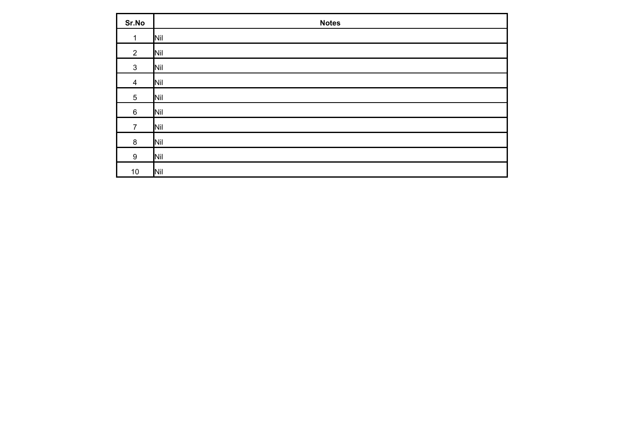| Sr.No          | <b>Notes</b> |
|----------------|--------------|
| 1              | Nil          |
| $\overline{2}$ | Nil          |
| $\mathbf{3}$   | Nil          |
| $\overline{4}$ | Nil          |
| 5              | Nil          |
| 6              | Nil          |
| $\overline{7}$ | Nil          |
| $\bf 8$        | Nil          |
| 9              | Nil          |
| $10$           | Nil          |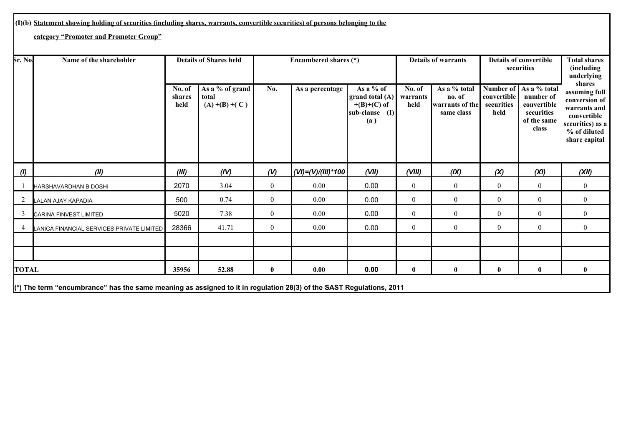## **(I)(b) Statement showing holding of securities (including shares, warrants, convertible securities) of persons belonging to the**

## **category "Promoter and Promoter Group"**

| Sr. No.      | <b>Details of Shares held</b><br>Name of the shareholder<br>Encumbered shares (*)                                              |                          | <b>Details of warrants</b>                    |                  | <b>Details of convertible</b><br>securities |                                                                        | <b>Total shares</b><br><i>(including)</i><br>underlying |                                                                |                                   |                                                                                            |                                                                                                                              |
|--------------|--------------------------------------------------------------------------------------------------------------------------------|--------------------------|-----------------------------------------------|------------------|---------------------------------------------|------------------------------------------------------------------------|---------------------------------------------------------|----------------------------------------------------------------|-----------------------------------|--------------------------------------------------------------------------------------------|------------------------------------------------------------------------------------------------------------------------------|
|              |                                                                                                                                | No. of<br>shares<br>held | As a % of grand<br>total<br>$(A) + (B) + (C)$ | No.              | As a percentage                             | As a % of<br>grand total (A)<br>$+(B)+(C)$ of<br>sub-clause (I)<br>(a) | No. of<br>warrants<br>held                              | As a % total<br>no. of<br><b>warrants</b> of the<br>same class | convertible<br>securities<br>held | Number of   As a % total<br>number of<br>convertible<br>securities<br>of the same<br>class | shares<br>assuming full<br>conversion of<br>warrants and<br>convertible<br>securities) as a<br>% of diluted<br>share capital |
| (1)          | (II)                                                                                                                           | (III)                    | (IV)                                          | (V)              | $ (VI)=(V)/(III)*100 $                      | (VII)                                                                  | (VIII)                                                  | (IX)                                                           | (X)                               | (XI)                                                                                       | (XII)                                                                                                                        |
|              | HARSHAVARDHAN B DOSHI                                                                                                          | 2070                     | 3.04                                          | $\overline{0}$   | 0.00                                        | 0.00                                                                   | $\overline{0}$                                          | $\mathbf{0}$                                                   | $\overline{0}$                    | $\overline{0}$                                                                             | $\overline{0}$                                                                                                               |
| 2            | LALAN AJAY KAPADIA                                                                                                             | 500                      | 0.74                                          | $\boldsymbol{0}$ | 0.00                                        | 0.00                                                                   | $\boldsymbol{0}$                                        | $\mathbf{0}$                                                   | $\overline{0}$                    | $\overline{0}$                                                                             | $\overline{0}$                                                                                                               |
| 3            | <b>CARINA FINVEST LIMITED</b>                                                                                                  | 5020                     | 7.38                                          | $\mathbf{0}$     | 0.00                                        | 0.00                                                                   | $\boldsymbol{0}$                                        | $\mathbf{0}$                                                   | $\overline{0}$                    | $\overline{0}$                                                                             | $\theta$                                                                                                                     |
| 4            | LANICA FINANCIAL SERVICES PRIVATE LIMITED                                                                                      | 28366                    | 41.71                                         | $\mathbf{0}$     | 0.00                                        | 0.00                                                                   | $\mathbf{0}$                                            | $\boldsymbol{0}$                                               | $\overline{0}$                    | $\mathbf{0}$                                                                               | $\overline{0}$                                                                                                               |
|              |                                                                                                                                |                          |                                               |                  |                                             |                                                                        |                                                         |                                                                |                                   |                                                                                            |                                                                                                                              |
|              |                                                                                                                                |                          |                                               |                  |                                             |                                                                        |                                                         |                                                                |                                   |                                                                                            |                                                                                                                              |
| <b>TOTAL</b> |                                                                                                                                | 35956                    | 52.88                                         | $\bf{0}$         | 0.00                                        | 0.00                                                                   | $\mathbf{0}$                                            | $\bf{0}$                                                       | $\bf{0}$                          | $\bf{0}$                                                                                   | $\mathbf{0}$                                                                                                                 |
|              | $\ket{\kappa}$ The term "encumbrance" has the same meaning as assigned to it in regulation 28(3) of the SAST Regulations, 2011 |                          |                                               |                  |                                             |                                                                        |                                                         |                                                                |                                   |                                                                                            |                                                                                                                              |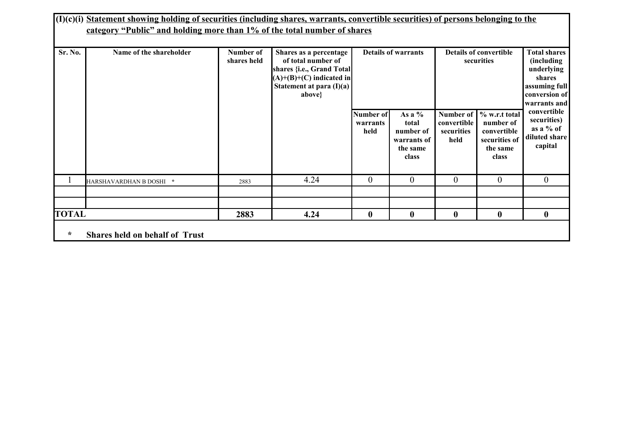|              | (I)(c)(i) Statement showing holding of securities (including shares, warrants, convertible securities) of persons belonging to the<br>category "Public" and holding more than 1% of the total number of shares |                          |                                                                                                                                                  |                               |                                                                    |                                                |                                                                                 |                                                                                                             |  |  |
|--------------|----------------------------------------------------------------------------------------------------------------------------------------------------------------------------------------------------------------|--------------------------|--------------------------------------------------------------------------------------------------------------------------------------------------|-------------------------------|--------------------------------------------------------------------|------------------------------------------------|---------------------------------------------------------------------------------|-------------------------------------------------------------------------------------------------------------|--|--|
| Sr. No.      | Name of the shareholder                                                                                                                                                                                        | Number of<br>shares held | Shares as a percentage<br>of total number of<br>shares {i.e., Grand Total]<br>$(A)+(B)+(C)$ indicated in<br>Statement at para $(I)(a)$<br>above} | <b>Details of warrants</b>    |                                                                    |                                                | <b>Details of convertible</b><br>securities                                     | <b>Total shares</b><br>(including<br>underlying<br>shares<br>assuming full<br>conversion of<br>warrants and |  |  |
|              |                                                                                                                                                                                                                |                          |                                                                                                                                                  | Number of<br>warrants<br>held | As a $%$<br>total<br>number of<br>warrants of<br>the same<br>class | Number of<br>convertible<br>securities<br>held | % w.r.t total<br>number of<br>convertible<br>securities of<br>the same<br>class | convertible<br>securities)<br>as a % of<br>diluted share<br>capital                                         |  |  |
|              | <b>HARSHAVARDHAN B DOSHI</b> *                                                                                                                                                                                 | 2883                     | 4.24                                                                                                                                             | $\theta$                      | $\theta$                                                           | $\theta$                                       | $\theta$                                                                        | $\overline{0}$                                                                                              |  |  |
|              |                                                                                                                                                                                                                |                          |                                                                                                                                                  |                               |                                                                    |                                                |                                                                                 |                                                                                                             |  |  |
| <b>TOTAL</b> | $\bf{0}$<br>$\bf{0}$<br>$\bf{0}$<br>$\bf{0}$<br>$\bf{0}$<br>2883<br>4.24                                                                                                                                       |                          |                                                                                                                                                  |                               |                                                                    |                                                |                                                                                 |                                                                                                             |  |  |
| $\ast$       | <b>Shares held on behalf of Trust</b>                                                                                                                                                                          |                          |                                                                                                                                                  |                               |                                                                    |                                                |                                                                                 |                                                                                                             |  |  |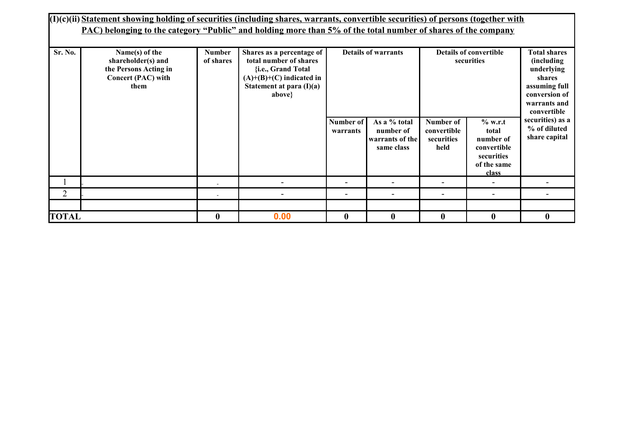| Sr. No.        | $(1)(c)(ii)$ Statement showing holding of securities (including shares, warrants, convertible securities) of persons (together with<br>PAC) belonging to the category "Public" and holding more than 5% of the total number of shares of the company<br><b>Details of warrants</b><br>Name(s) of the<br><b>Details of convertible</b><br><b>Total shares</b><br>Shares as a percentage of<br><b>Number</b><br>total number of shares<br>shareholder(s) and<br>of shares<br>securities<br><i>(including)</i> |          |                                                                                          |                          |                                                            |                                                |                                                                                    |                                                                                       |  |
|----------------|-------------------------------------------------------------------------------------------------------------------------------------------------------------------------------------------------------------------------------------------------------------------------------------------------------------------------------------------------------------------------------------------------------------------------------------------------------------------------------------------------------------|----------|------------------------------------------------------------------------------------------|--------------------------|------------------------------------------------------------|------------------------------------------------|------------------------------------------------------------------------------------|---------------------------------------------------------------------------------------|--|
|                | the Persons Acting in<br>Concert (PAC) with<br>them                                                                                                                                                                                                                                                                                                                                                                                                                                                         |          | {i.e., Grand Total<br>$(A)+(B)+(C)$ indicated in<br>Statement at para $(I)(a)$<br>above} |                          |                                                            |                                                |                                                                                    | underlying<br>shares<br>assuming full<br>conversion of<br>warrants and<br>convertible |  |
|                |                                                                                                                                                                                                                                                                                                                                                                                                                                                                                                             |          |                                                                                          | Number of<br>warrants    | As a % total<br>number of<br>warrants of the<br>same class | Number of<br>convertible<br>securities<br>held | % w.r.t<br>total<br>number of<br>convertible<br>securities<br>of the same<br>class | securities) as a<br>% of diluted<br>share capital                                     |  |
|                |                                                                                                                                                                                                                                                                                                                                                                                                                                                                                                             |          |                                                                                          | -                        |                                                            |                                                |                                                                                    |                                                                                       |  |
| $\overline{2}$ |                                                                                                                                                                                                                                                                                                                                                                                                                                                                                                             |          |                                                                                          | $\overline{\phantom{0}}$ |                                                            | $\overline{\phantom{0}}$                       |                                                                                    |                                                                                       |  |
|                |                                                                                                                                                                                                                                                                                                                                                                                                                                                                                                             |          |                                                                                          |                          |                                                            |                                                |                                                                                    |                                                                                       |  |
| <b>TOTAL</b>   |                                                                                                                                                                                                                                                                                                                                                                                                                                                                                                             | $\bf{0}$ | 0.00                                                                                     | $\boldsymbol{0}$         | 0                                                          | $\bf{0}$                                       | $\mathbf{0}$                                                                       | $\bf{0}$                                                                              |  |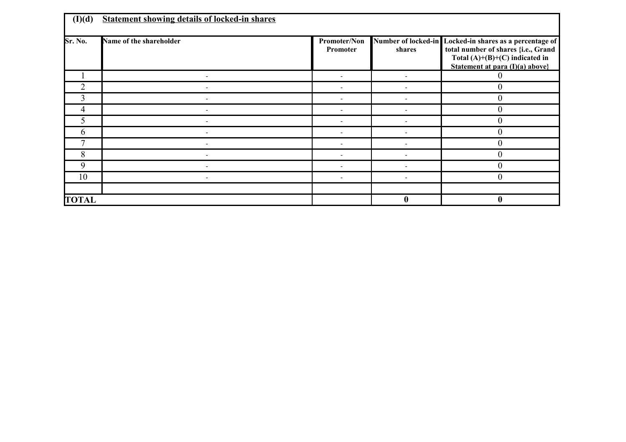| (I)(d)       | <b>Statement showing details of locked-in shares</b> |                          |                               |                                                                                                                                                     |
|--------------|------------------------------------------------------|--------------------------|-------------------------------|-----------------------------------------------------------------------------------------------------------------------------------------------------|
| Sr. No.      | Name of the shareholder                              | Promoter/Non<br>Promoter | Number of locked-in<br>shares | Locked-in shares as a percentage of<br>total number of shares {i.e., Grand<br>Total $(A)+(B)+(C)$ indicated in<br>Statement at para $(I)(a)$ above} |
|              |                                                      |                          |                               |                                                                                                                                                     |
|              |                                                      |                          |                               |                                                                                                                                                     |
| 3            |                                                      |                          |                               | 0                                                                                                                                                   |
| 4            |                                                      |                          |                               | 0                                                                                                                                                   |
|              |                                                      |                          |                               | 0                                                                                                                                                   |
| 6            |                                                      |                          |                               | $\overline{0}$                                                                                                                                      |
|              |                                                      |                          |                               | 0                                                                                                                                                   |
| 8            |                                                      |                          |                               |                                                                                                                                                     |
| 9            |                                                      |                          |                               | 0                                                                                                                                                   |
| 10           |                                                      |                          |                               | $\theta$                                                                                                                                            |
|              |                                                      |                          |                               |                                                                                                                                                     |
| <b>TOTAL</b> |                                                      |                          | $\mathbf{0}$                  | 0                                                                                                                                                   |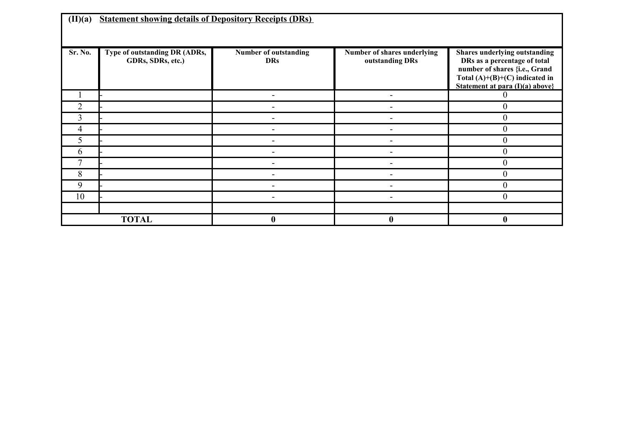| (II)(a)        | <b>Statement showing details of Depository Receipts (DRs)</b> |                                     |                                                |                                                                                                                                                                       |  |  |  |  |  |
|----------------|---------------------------------------------------------------|-------------------------------------|------------------------------------------------|-----------------------------------------------------------------------------------------------------------------------------------------------------------------------|--|--|--|--|--|
| Sr. No.        | Type of outstanding DR (ADRs,<br>GDRs, SDRs, etc.)            | Number of outstanding<br><b>DRs</b> | Number of shares underlying<br>outstanding DRs | Shares underlying outstanding<br>DRs as a percentage of total<br>number of shares {i.e., Grand<br>Total $(A)+(B)+(C)$ indicated in<br>Statement at para (I)(a) above} |  |  |  |  |  |
|                |                                                               |                                     |                                                |                                                                                                                                                                       |  |  |  |  |  |
| $\overline{2}$ |                                                               |                                     |                                                | $\overline{0}$                                                                                                                                                        |  |  |  |  |  |
| 3              |                                                               |                                     |                                                | $\overline{0}$                                                                                                                                                        |  |  |  |  |  |
| 4              |                                                               |                                     |                                                | $\theta$                                                                                                                                                              |  |  |  |  |  |
| 5.             |                                                               |                                     |                                                | $\theta$                                                                                                                                                              |  |  |  |  |  |
| 6              |                                                               |                                     |                                                | $\overline{0}$                                                                                                                                                        |  |  |  |  |  |
|                |                                                               |                                     |                                                | $\overline{0}$                                                                                                                                                        |  |  |  |  |  |
| 8              |                                                               |                                     |                                                | $\theta$                                                                                                                                                              |  |  |  |  |  |
| 9              |                                                               |                                     |                                                | $\overline{0}$                                                                                                                                                        |  |  |  |  |  |
| 10             |                                                               |                                     | -                                              | $\overline{0}$                                                                                                                                                        |  |  |  |  |  |
|                |                                                               |                                     |                                                |                                                                                                                                                                       |  |  |  |  |  |
|                | <b>TOTAL</b>                                                  | $\mathbf{0}$                        | $\mathbf{0}$                                   | $\boldsymbol{0}$                                                                                                                                                      |  |  |  |  |  |